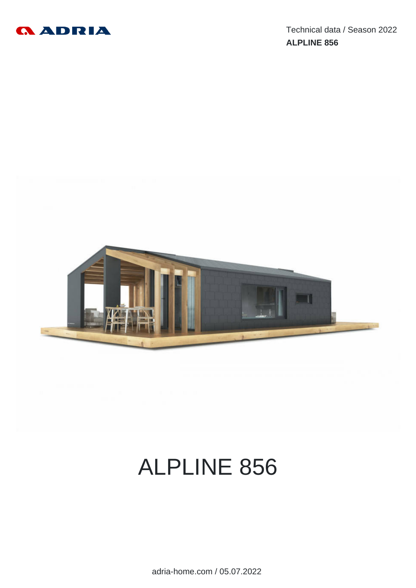



# ALPLINE 856

adria-home.com / 05.07.2022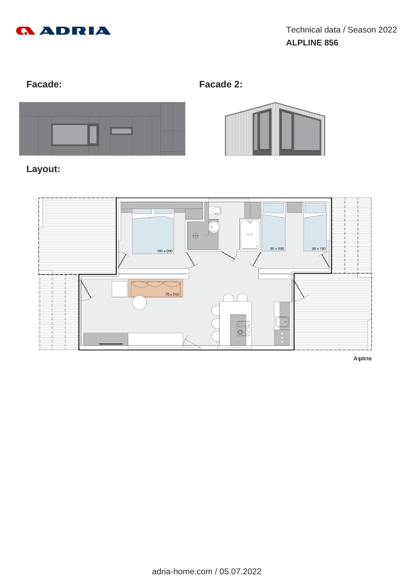

**Facade: Facade 2:**



# **Layout:**





Alpline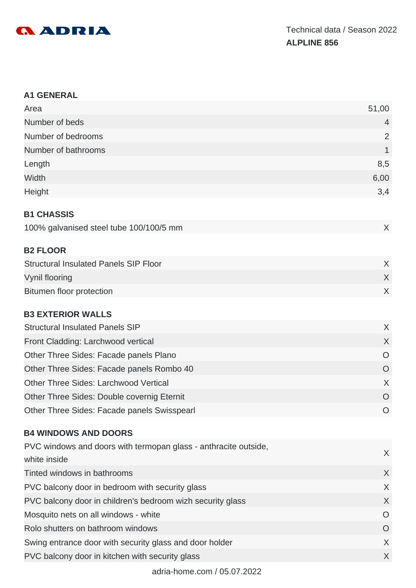

#### **A1 GENERAL**

| Area                                         | 51,00          |
|----------------------------------------------|----------------|
| Number of beds                               | $\overline{4}$ |
| Number of bedrooms                           | $\overline{2}$ |
| Number of bathrooms                          | 1              |
| Length                                       | 8,5            |
| Width                                        | 6,00           |
| Height                                       | 3,4            |
| <b>B1 CHASSIS</b>                            |                |
| 100% galvanised steel tube 100/100/5 mm      | X              |
| <b>B2 FLOOR</b>                              |                |
| <b>Structural Insulated Panels SIP Floor</b> | X              |
| Vynil flooring                               | X              |
| <b>Bitumen floor protection</b>              | X              |
| <b>B3 EXTERIOR WALLS</b>                     |                |
| <b>Structural Insulated Panels SIP</b>       | X              |
| Front Cladding: Larchwood vertical           | X              |
| Other Three Sides: Facade panels Plano       | $\overline{O}$ |
| Other Three Sides: Facade panels Rombo 40    | $\overline{O}$ |
| <b>Other Three Sides: Larchwood Vertical</b> | X              |
| Other Three Sides: Double covernig Eternit   | $\circ$        |
| Other Three Sides: Facade panels Swisspearl  | $\circ$        |

# **B4 WINDOWS AND DOORS**

| PVC windows and doors with termopan glass - anthracite outside, |          |
|-----------------------------------------------------------------|----------|
| white inside                                                    | $\chi$   |
| Tinted windows in bathrooms                                     | $\chi$   |
| PVC balcony door in bedroom with security glass                 | X        |
| PVC balcony door in children's bedroom wizh security glass      | X        |
| Mosquito nets on all windows - white                            | $\Omega$ |
| Rolo shutters on bathroom windows                               | O        |
| Swing entrance door with security glass and door holder         | X        |
| PVC balcony door in kitchen with security glass                 | X        |
|                                                                 |          |

adria-home.com / 05.07.2022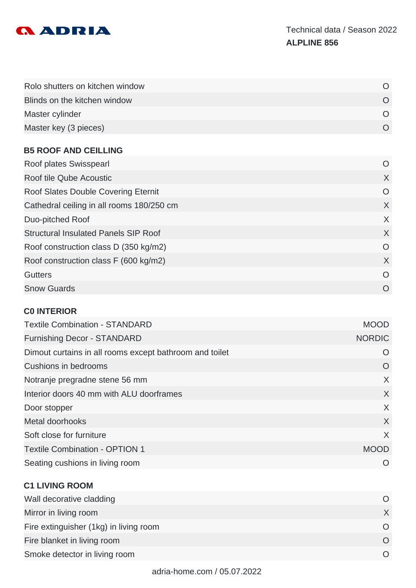

| Rolo shutters on kitchen window |  |
|---------------------------------|--|
| Blinds on the kitchen window    |  |
| Master cylinder                 |  |
| Master key (3 pieces)           |  |

#### **B5 ROOF AND CEILLING**

| Roof plates Swisspearl                      | O        |
|---------------------------------------------|----------|
| Roof tile Qube Acoustic                     | X        |
| Roof Slates Double Covering Eternit         | O        |
| Cathedral ceiling in all rooms 180/250 cm   | X        |
| Duo-pitched Roof                            | X        |
| <b>Structural Insulated Panels SIP Roof</b> | X        |
| Roof construction class D (350 kg/m2)       | O        |
| Roof construction class F (600 kg/m2)       | X        |
| <b>Gutters</b>                              | O        |
| <b>Snow Guards</b>                          | $\Omega$ |

#### **C0 INTERIOR**

| <b>Textile Combination - STANDARD</b>                   | <b>MOOD</b>   |
|---------------------------------------------------------|---------------|
| <b>Furnishing Decor - STANDARD</b>                      | <b>NORDIC</b> |
| Dimout curtains in all rooms except bathroom and toilet | O             |
| Cushions in bedrooms                                    | O             |
| Notranje pregradne stene 56 mm                          | X             |
| Interior doors 40 mm with ALU doorframes                | $\chi$        |
| Door stopper                                            | X             |
| Metal doorhooks                                         | X             |
| Soft close for furniture                                | X             |
| <b>Textile Combination - OPTION 1</b>                   | <b>MOOD</b>   |
| Seating cushions in living room                         |               |

#### **C1 LIVING ROOM**

| Wall decorative cladding               |  |
|----------------------------------------|--|
| Mirror in living room                  |  |
| Fire extinguisher (1kg) in living room |  |
| Fire blanket in living room            |  |
| Smoke detector in living room          |  |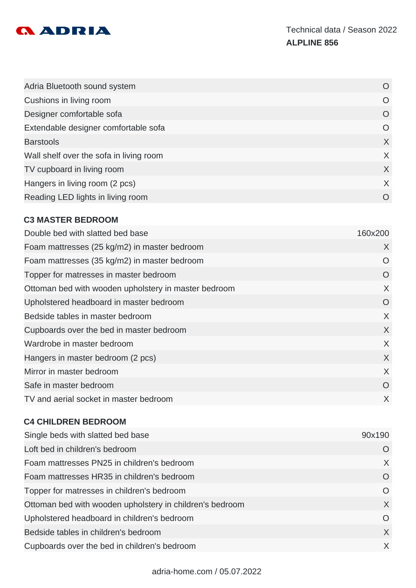

| Adria Bluetooth sound system            | O         |
|-----------------------------------------|-----------|
| Cushions in living room                 | O         |
| Designer comfortable sofa               | O         |
| Extendable designer comfortable sofa    | $\Omega$  |
| <b>Barstools</b>                        | X         |
| Wall shelf over the sofa in living room | X         |
| TV cupboard in living room              | X         |
| Hangers in living room (2 pcs)          | X         |
| Reading LED lights in living room       | $\bigcap$ |

# **C3 MASTER BEDROOM**

| Double bed with slatted bed base                     | 160x200  |
|------------------------------------------------------|----------|
| Foam mattresses (25 kg/m2) in master bedroom         | X        |
| Foam mattresses (35 kg/m2) in master bedroom         | $\Omega$ |
| Topper for matresses in master bedroom               | O        |
| Ottoman bed with wooden upholstery in master bedroom | X        |
| Upholstered headboard in master bedroom              | O        |
| Bedside tables in master bedroom                     | X        |
| Cupboards over the bed in master bedroom             | X        |
| Wardrobe in master bedroom                           | X        |
| Hangers in master bedroom (2 pcs)                    | X        |
| Mirror in master bedroom                             | X        |
| Safe in master bedroom                               | O        |
| TV and aerial socket in master bedroom               | X        |
|                                                      |          |

#### **C4 CHILDREN BEDROOM**

| Single beds with slatted bed base                        | 90x190   |
|----------------------------------------------------------|----------|
| Loft bed in children's bedroom                           | O        |
| Foam mattresses PN25 in children's bedroom               | X        |
| Foam mattresses HR35 in children's bedroom               | O        |
| Topper for matresses in children's bedroom               | O        |
| Ottoman bed with wooden upholstery in children's bedroom | X        |
| Upholstered headboard in children's bedroom              | $\Omega$ |
| Bedside tables in children's bedroom                     | $\chi$   |
| Cupboards over the bed in children's bedroom             | X        |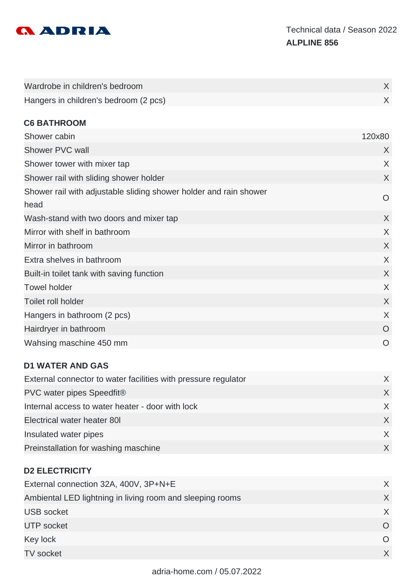

| Wardrobe in children's bedroom                                            | $\sf X$        |
|---------------------------------------------------------------------------|----------------|
| Hangers in children's bedroom (2 pcs)                                     | X              |
| <b>C6 BATHROOM</b>                                                        |                |
| Shower cabin                                                              | 120x80         |
| Shower PVC wall                                                           | X              |
| Shower tower with mixer tap                                               | X              |
| Shower rail with sliding shower holder                                    | X              |
| Shower rail with adjustable sliding shower holder and rain shower<br>head | O              |
| Wash-stand with two doors and mixer tap                                   | X              |
| Mirror with shelf in bathroom                                             | X              |
| Mirror in bathroom                                                        | $\sf X$        |
| Extra shelves in bathroom                                                 | X              |
| Built-in toilet tank with saving function                                 | X              |
| <b>Towel holder</b>                                                       | X              |
| Toilet roll holder                                                        | X              |
| Hangers in bathroom (2 pcs)                                               | X              |
| Hairdryer in bathroom                                                     | O              |
| Wahsing maschine 450 mm                                                   | $\overline{O}$ |

#### **D1 WATER AND GAS**

| External connector to water facilities with pressure regulator |  |
|----------------------------------------------------------------|--|
| PVC water pipes Speedfit®                                      |  |
| Internal access to water heater - door with lock               |  |
| Electrical water heater 80I                                    |  |
| Insulated water pipes                                          |  |
| Preinstallation for washing maschine                           |  |

#### **D2 ELECTRICITY**

| External connection 32A, 400V, 3P+N+E                     |          |
|-----------------------------------------------------------|----------|
| Ambiental LED lightning in living room and sleeping rooms |          |
| <b>USB</b> socket                                         |          |
| <b>UTP</b> socket                                         |          |
| Key lock                                                  | $\Omega$ |
| <b>TV</b> socket                                          |          |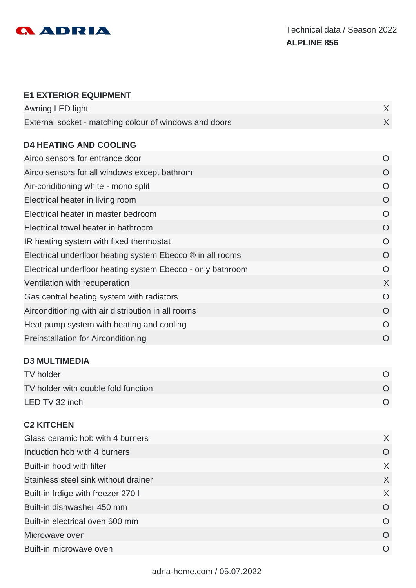

#### **E1 EXTERIOR EQUIPMENT**

| Awning LED light                                       |  |
|--------------------------------------------------------|--|
| External socket - matching colour of windows and doors |  |

## **D4 HEATING AND COOLING**

| Airco sensors for entrance door                             | O              |
|-------------------------------------------------------------|----------------|
| Airco sensors for all windows except bathrom                | O              |
| Air-conditioning white - mono split                         | $\circ$        |
| Electrical heater in living room                            | O              |
| Electrical heater in master bedroom                         | O              |
| Electrical towel heater in bathroom                         | O              |
| IR heating system with fixed thermostat                     | O              |
| Electrical underfloor heating system Ebecco ® in all rooms  | $\overline{O}$ |
| Electrical underfloor heating system Ebecco - only bathroom | O              |
| Ventilation with recuperation                               | X              |
| Gas central heating system with radiators                   | O              |
| Airconditioning with air distribution in all rooms          | O              |
| Heat pump system with heating and cooling                   | O              |
| <b>Preinstallation for Airconditioning</b>                  | $\circ$        |
|                                                             |                |

### **D3 MULTIMEDIA**

| TV holder                           |  |
|-------------------------------------|--|
| TV holder with double fold function |  |
| LED TV 32 inch                      |  |

#### **C2 KITCHEN**

| Glass ceramic hob with 4 burners     | X        |
|--------------------------------------|----------|
| Induction hob with 4 burners         | O        |
| Built-in hood with filter            | X        |
| Stainless steel sink without drainer | X        |
| Built-in frdige with freezer 270 I   | X        |
| Built-in dishwasher 450 mm           | O        |
| Built-in electrical oven 600 mm      | O        |
| Microwave oven                       | O        |
| Built-in microwave oven              | $\Omega$ |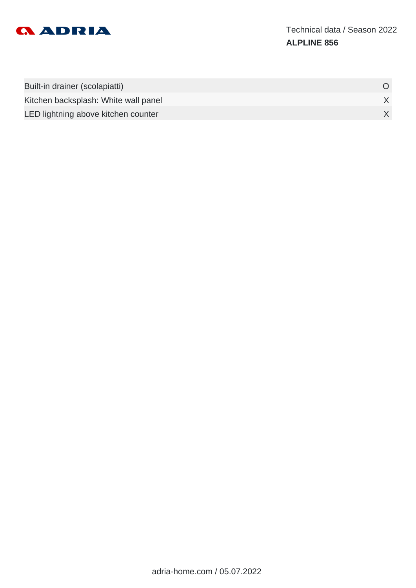

| Built-in drainer (scolapiatti)       |  |
|--------------------------------------|--|
| Kitchen backsplash: White wall panel |  |
| LED lightning above kitchen counter  |  |